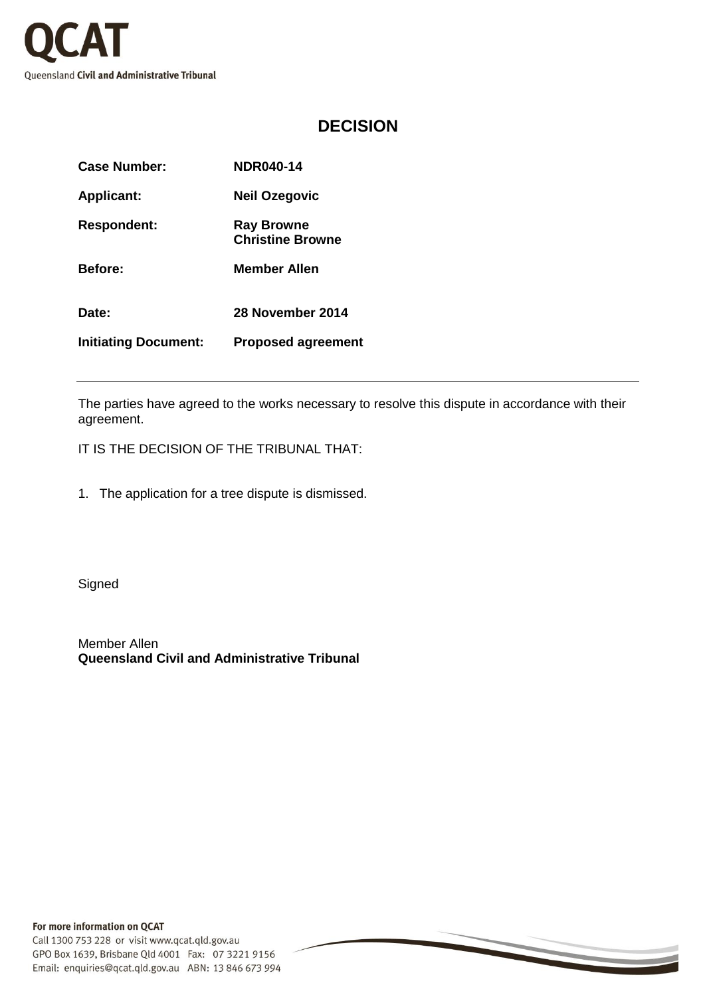

## **DECISION**

| Case Number:                | <b>NDR040-14</b>                             |
|-----------------------------|----------------------------------------------|
| <b>Applicant:</b>           | Neil Ozegovic                                |
| <b>Respondent:</b>          | <b>Ray Browne</b><br><b>Christine Browne</b> |
| <b>Before:</b>              | <b>Member Allen</b>                          |
| Date:                       | 28 November 2014                             |
| <b>Initiating Document:</b> | <b>Proposed agreement</b>                    |

The parties have agreed to the works necessary to resolve this dispute in accordance with their agreement.

IT IS THE DECISION OF THE TRIBUNAL THAT:

1. The application for a tree dispute is dismissed.

**Signed** 

Member Allen **Queensland Civil and Administrative Tribunal**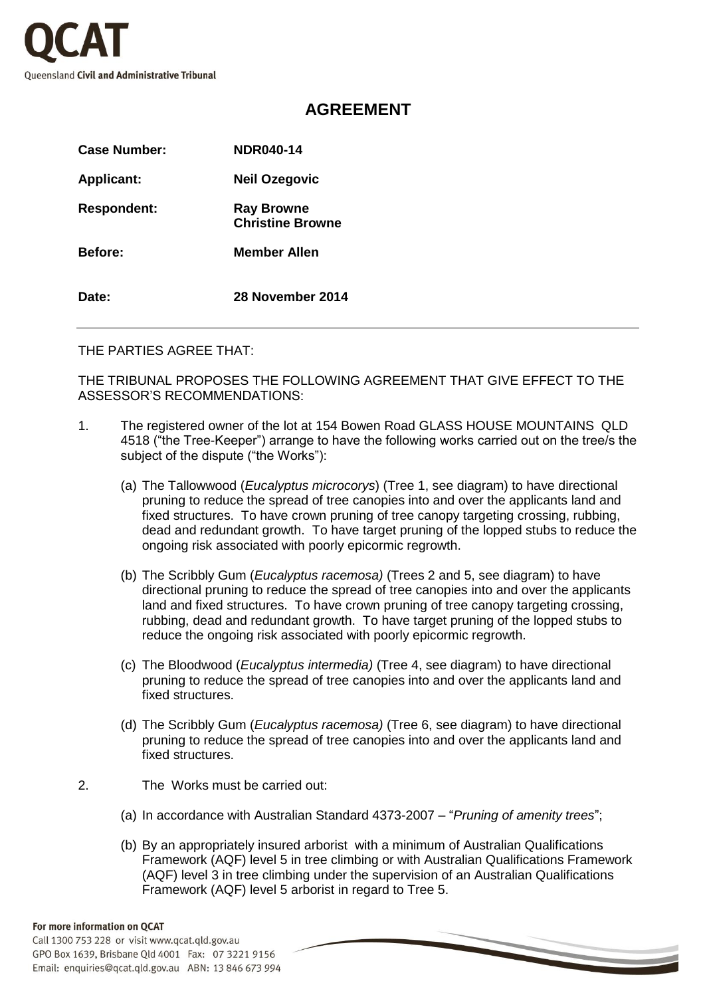

## **AGREEMENT**

| Case Number:       | <b>NDR040-14</b>                             |
|--------------------|----------------------------------------------|
| <b>Applicant:</b>  | <b>Neil Ozegovic</b>                         |
| <b>Respondent:</b> | <b>Ray Browne</b><br><b>Christine Browne</b> |
| <b>Before:</b>     | Member Allen                                 |
| Date:              | 28 November 2014                             |

THE PARTIES AGREE THAT:

THE TRIBUNAL PROPOSES THE FOLLOWING AGREEMENT THAT GIVE EFFECT TO THE ASSESSOR'S RECOMMENDATIONS:

- 1. The registered owner of the lot at 154 Bowen Road GLASS HOUSE MOUNTAINS QLD 4518 ("the Tree-Keeper") arrange to have the following works carried out on the tree/s the subject of the dispute ("the Works"):
	- (a) The Tallowwood (*Eucalyptus microcorys*) (Tree 1, see diagram) to have directional pruning to reduce the spread of tree canopies into and over the applicants land and fixed structures. To have crown pruning of tree canopy targeting crossing, rubbing, dead and redundant growth. To have target pruning of the lopped stubs to reduce the ongoing risk associated with poorly epicormic regrowth.
	- (b) The Scribbly Gum (*Eucalyptus racemosa)* (Trees 2 and 5, see diagram) to have directional pruning to reduce the spread of tree canopies into and over the applicants land and fixed structures. To have crown pruning of tree canopy targeting crossing, rubbing, dead and redundant growth. To have target pruning of the lopped stubs to reduce the ongoing risk associated with poorly epicormic regrowth.
	- (c) The Bloodwood (*Eucalyptus intermedia)* (Tree 4, see diagram) to have directional pruning to reduce the spread of tree canopies into and over the applicants land and fixed structures.
	- (d) The Scribbly Gum (*Eucalyptus racemosa)* (Tree 6, see diagram) to have directional pruning to reduce the spread of tree canopies into and over the applicants land and fixed structures.
- 2. The Works must be carried out:
	- (a) In accordance with Australian Standard 4373-2007 "*Pruning of amenity trees*";
	- (b) By an appropriately insured arborist with a minimum of Australian Qualifications Framework (AQF) level 5 in tree climbing or with Australian Qualifications Framework (AQF) level 3 in tree climbing under the supervision of an Australian Qualifications Framework (AQF) level 5 arborist in regard to Tree 5.

## For more information on QCAT